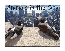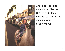

It's easy to see animals in the zoo. But if you look around in the city, animals are everywhere!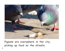

Pigeons are everywhere in the city, picking up food on the streets.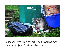

Raccoons live in the city too. Sometimes they look for food in the trash.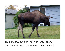

This moose walked all the way from the forest into someone's front yard !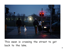

This swan is crossing the street to get back to the lake.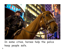

In some cities, horses help the police keep people safe.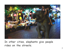

In other cities, elephants give people rides on the streets.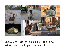

There are lots of animals in the city. What animal will you see next?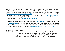The Mustard Seed Books project uses an open-source, Wikipedia-type strategy, leveraging public expertise to create and refine a set of high-quality books that support early reading development. All of the books and pictures are covered by the Creative Commons License (http://creativecommons.org/licenses/by-nc-sa/3.0/ ) and are free to print, distribute, and modify for personal or educational use. The books are available at www.mustardseedbooks.org. New titles appear on a regular basis. If you have any ideas for books or would like to leave us any feedback, contact rick@mustardseedbooks.org.

Photos for these books come primarily from Flickr (www.flickr.com) and the Morgue File (www.morguefile.com). Both sites are great resources for high-quality publicly accessible photos and for aspiring photographers looking to share their work. All photographs are covered by the Creative Commons License (http://creativecommons.org/licenses/by-nc-sa/3.0/ ).

**Text credits:** Elizabeth Kim

**Photo credits:** Cover: Fernando de Sousa; page 1: "quiver"; page 2: Sarah Cartwright; page 3: Kara Allyson; page 4: "bolandrotor"; page 5: Stewart Butterfield; page 6: Szymon Kochanski; page 7: "Travis S"; page 8: Victoria Bernal, Nick Grosoli, David Friel, Mary Osterburg, "xdianicx," Mary Ann Enriquez